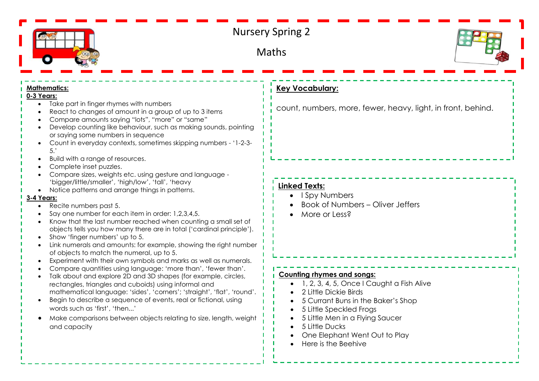